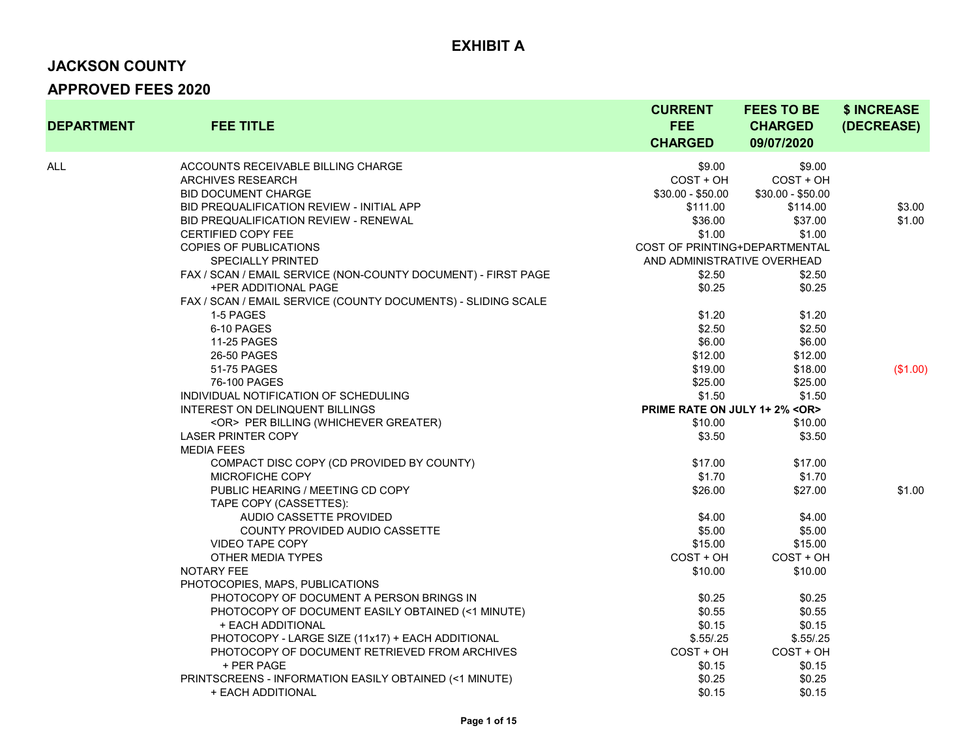# **JACKSON COUNTY**

| <b>DEPARTMENT</b> | <b>FEE TITLE</b>                                              | <b>CURRENT</b><br><b>FEE</b><br><b>CHARGED</b> | <b>FEES TO BE</b><br><b>CHARGED</b><br>09/07/2020 | \$ INCREASE<br>(DECREASE) |
|-------------------|---------------------------------------------------------------|------------------------------------------------|---------------------------------------------------|---------------------------|
| ALL               | ACCOUNTS RECEIVABLE BILLING CHARGE                            | \$9.00                                         | \$9.00                                            |                           |
|                   | <b>ARCHIVES RESEARCH</b>                                      | COST + OH                                      | $COST + OH$                                       |                           |
|                   | <b>BID DOCUMENT CHARGE</b>                                    | $$30.00 - $50.00$                              | $$30.00 - $50.00$                                 |                           |
|                   | BID PREQUALIFICATION REVIEW - INITIAL APP                     | \$111.00                                       | \$114.00                                          | \$3.00                    |
|                   | BID PREQUALIFICATION REVIEW - RENEWAL                         | \$36.00                                        | \$37.00                                           | \$1.00                    |
|                   | <b>CERTIFIED COPY FEE</b>                                     | \$1.00                                         | \$1.00                                            |                           |
|                   | <b>COPIES OF PUBLICATIONS</b>                                 | COST OF PRINTING+DEPARTMENTAL                  |                                                   |                           |
|                   | <b>SPECIALLY PRINTED</b>                                      | AND ADMINISTRATIVE OVERHEAD                    |                                                   |                           |
|                   | FAX / SCAN / EMAIL SERVICE (NON-COUNTY DOCUMENT) - FIRST PAGE | \$2.50                                         | \$2.50                                            |                           |
|                   | +PER ADDITIONAL PAGE                                          | \$0.25                                         | \$0.25                                            |                           |
|                   | FAX / SCAN / EMAIL SERVICE (COUNTY DOCUMENTS) - SLIDING SCALE |                                                |                                                   |                           |
|                   | 1-5 PAGES                                                     | \$1.20                                         | \$1.20                                            |                           |
|                   | 6-10 PAGES                                                    | \$2.50                                         | \$2.50                                            |                           |
|                   | 11-25 PAGES                                                   | \$6.00                                         | \$6.00                                            |                           |
|                   | 26-50 PAGES                                                   | \$12.00                                        | \$12.00                                           |                           |
|                   | 51-75 PAGES                                                   | \$19.00                                        | \$18.00                                           | (\$1.00)                  |
|                   | 76-100 PAGES                                                  | \$25.00                                        | \$25.00                                           |                           |
|                   | INDIVIDUAL NOTIFICATION OF SCHEDULING                         | \$1.50                                         | \$1.50                                            |                           |
|                   | INTEREST ON DELINQUENT BILLINGS                               | PRIME RATE ON JULY 1+2% <or></or>              |                                                   |                           |
|                   | <or> PER BILLING (WHICHEVER GREATER)</or>                     | \$10.00                                        | \$10.00                                           |                           |
|                   | <b>LASER PRINTER COPY</b>                                     | \$3.50                                         | \$3.50                                            |                           |
|                   | <b>MEDIA FEES</b>                                             |                                                |                                                   |                           |
|                   | COMPACT DISC COPY (CD PROVIDED BY COUNTY)                     | \$17.00                                        | \$17.00                                           |                           |
|                   | MICROFICHE COPY                                               | \$1.70                                         | \$1.70                                            |                           |
|                   | PUBLIC HEARING / MEETING CD COPY                              | \$26.00                                        | \$27.00                                           | \$1.00                    |
|                   | TAPE COPY (CASSETTES):                                        |                                                |                                                   |                           |
|                   | AUDIO CASSETTE PROVIDED                                       | \$4.00                                         | \$4.00                                            |                           |
|                   | COUNTY PROVIDED AUDIO CASSETTE                                | \$5.00                                         | \$5.00                                            |                           |
|                   | <b>VIDEO TAPE COPY</b>                                        | \$15.00                                        | \$15.00                                           |                           |
|                   | OTHER MEDIA TYPES                                             | $COST + OH$                                    | $COST + OH$                                       |                           |
|                   | <b>NOTARY FEE</b>                                             | \$10.00                                        | \$10.00                                           |                           |
|                   | PHOTOCOPIES, MAPS, PUBLICATIONS                               |                                                |                                                   |                           |
|                   | PHOTOCOPY OF DOCUMENT A PERSON BRINGS IN                      | \$0.25                                         | \$0.25                                            |                           |
|                   | PHOTOCOPY OF DOCUMENT EASILY OBTAINED (<1 MINUTE)             | \$0.55                                         | \$0.55                                            |                           |
|                   | + EACH ADDITIONAL                                             | \$0.15                                         | \$0.15                                            |                           |
|                   | PHOTOCOPY - LARGE SIZE (11x17) + EACH ADDITIONAL              | \$.55/.25                                      | \$.55/.25                                         |                           |
|                   | PHOTOCOPY OF DOCUMENT RETRIEVED FROM ARCHIVES                 | COST + OH                                      | COST + OH                                         |                           |
|                   | + PER PAGE                                                    | \$0.15                                         | \$0.15                                            |                           |
|                   | PRINTSCREENS - INFORMATION EASILY OBTAINED (<1 MINUTE)        | \$0.25                                         | \$0.25                                            |                           |
|                   | + EACH ADDITIONAL                                             | \$0.15                                         | \$0.15                                            |                           |
|                   |                                                               |                                                |                                                   |                           |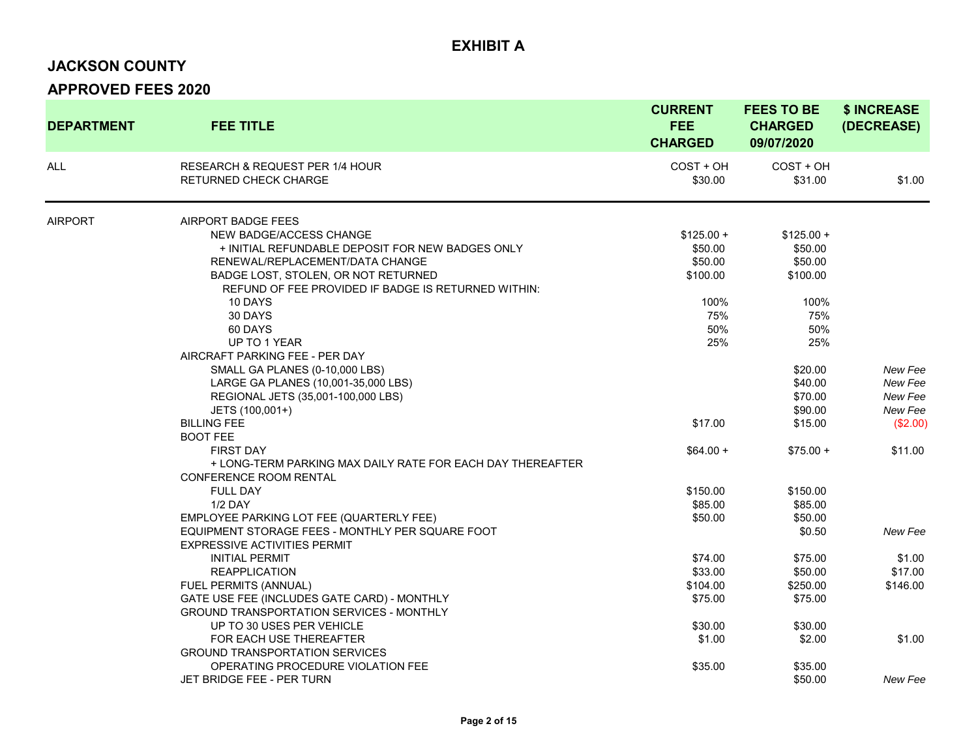#### **JACKSON COUNTY**

| <b>DEPARTMENT</b> | <b>FEE TITLE</b>                                                           | <b>CURRENT</b><br><b>FEE</b><br><b>CHARGED</b> | <b>FEES TO BE</b><br><b>CHARGED</b><br>09/07/2020 | \$ INCREASE<br>(DECREASE) |
|-------------------|----------------------------------------------------------------------------|------------------------------------------------|---------------------------------------------------|---------------------------|
| <b>ALL</b>        | <b>RESEARCH &amp; REQUEST PER 1/4 HOUR</b><br><b>RETURNED CHECK CHARGE</b> | COST + OH<br>\$30.00                           | $COST + OH$<br>\$31.00                            | \$1.00                    |
| <b>AIRPORT</b>    | <b>AIRPORT BADGE FEES</b>                                                  |                                                |                                                   |                           |
|                   | NEW BADGE/ACCESS CHANGE                                                    | $$125.00 +$                                    | $$125.00 +$                                       |                           |
|                   | + INITIAL REFUNDABLE DEPOSIT FOR NEW BADGES ONLY                           | \$50.00                                        | \$50.00                                           |                           |
|                   | RENEWAL/REPLACEMENT/DATA CHANGE                                            | \$50.00                                        | \$50.00                                           |                           |
|                   | BADGE LOST, STOLEN, OR NOT RETURNED                                        | \$100.00                                       | \$100.00                                          |                           |
|                   | REFUND OF FEE PROVIDED IF BADGE IS RETURNED WITHIN:                        |                                                |                                                   |                           |
|                   | 10 DAYS                                                                    | 100%                                           | 100%                                              |                           |
|                   | 30 DAYS                                                                    | 75%                                            | 75%                                               |                           |
|                   | 60 DAYS                                                                    | 50%                                            | 50%                                               |                           |
|                   | UP TO 1 YEAR                                                               | 25%                                            | 25%                                               |                           |
|                   | AIRCRAFT PARKING FEE - PER DAY                                             |                                                |                                                   |                           |
|                   | SMALL GA PLANES (0-10,000 LBS)                                             |                                                | \$20.00                                           | New Fee                   |
|                   | LARGE GA PLANES (10,001-35,000 LBS)                                        |                                                | \$40.00                                           | New Fee                   |
|                   | REGIONAL JETS (35,001-100,000 LBS)                                         |                                                | \$70.00                                           | New Fee                   |
|                   | JETS (100,001+)                                                            |                                                | \$90.00                                           | New Fee                   |
|                   | <b>BILLING FEE</b>                                                         | \$17.00                                        | \$15.00                                           | (\$2.00)                  |
|                   | <b>BOOT FEE</b>                                                            |                                                |                                                   |                           |
|                   | <b>FIRST DAY</b>                                                           | $$64.00 +$                                     | $$75.00 +$                                        | \$11.00                   |
|                   | + LONG-TERM PARKING MAX DAILY RATE FOR EACH DAY THEREAFTER                 |                                                |                                                   |                           |
|                   | CONFERENCE ROOM RENTAL                                                     |                                                |                                                   |                           |
|                   | <b>FULL DAY</b>                                                            | \$150.00                                       | \$150.00                                          |                           |
|                   | <b>1/2 DAY</b>                                                             | \$85.00                                        | \$85.00                                           |                           |
|                   | EMPLOYEE PARKING LOT FEE (QUARTERLY FEE)                                   | \$50.00                                        | \$50.00                                           |                           |
|                   | EQUIPMENT STORAGE FEES - MONTHLY PER SQUARE FOOT                           |                                                | \$0.50                                            | New Fee                   |
|                   | <b>EXPRESSIVE ACTIVITIES PERMIT</b>                                        |                                                |                                                   |                           |
|                   | <b>INITIAL PERMIT</b>                                                      | \$74.00                                        | \$75.00                                           | \$1.00                    |
|                   | <b>REAPPLICATION</b>                                                       | \$33.00                                        | \$50.00                                           | \$17.00                   |
|                   | FUEL PERMITS (ANNUAL)                                                      | \$104.00                                       | \$250.00                                          | \$146.00                  |
|                   | GATE USE FEE (INCLUDES GATE CARD) - MONTHLY                                | \$75.00                                        | \$75.00                                           |                           |
|                   | <b>GROUND TRANSPORTATION SERVICES - MONTHLY</b>                            |                                                |                                                   |                           |
|                   | UP TO 30 USES PER VEHICLE                                                  | \$30.00                                        | \$30.00                                           |                           |
|                   | FOR EACH USE THEREAFTER<br><b>GROUND TRANSPORTATION SERVICES</b>           | \$1.00                                         | \$2.00                                            | \$1.00                    |
|                   | OPERATING PROCEDURE VIOLATION FEE                                          | \$35.00                                        | \$35.00                                           |                           |
|                   | JET BRIDGE FEE - PER TURN                                                  |                                                | \$50.00                                           | New Fee                   |
|                   |                                                                            |                                                |                                                   |                           |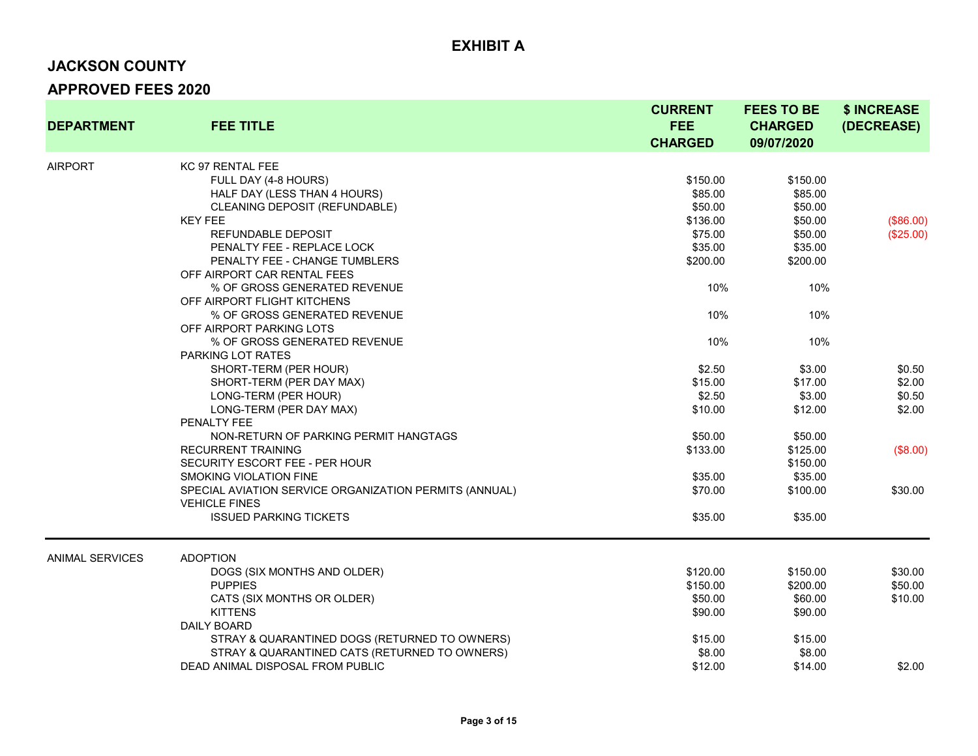# **JACKSON COUNTY**

| <b>DEPARTMENT</b>      | <b>FEE TITLE</b>                                       | <b>CURRENT</b><br><b>FEE</b><br><b>CHARGED</b> | <b>FEES TO BE</b><br><b>CHARGED</b><br>09/07/2020 | \$ INCREASE<br>(DECREASE) |
|------------------------|--------------------------------------------------------|------------------------------------------------|---------------------------------------------------|---------------------------|
| <b>AIRPORT</b>         | KC 97 RENTAL FEE                                       |                                                |                                                   |                           |
|                        | FULL DAY (4-8 HOURS)                                   | \$150.00                                       | \$150.00                                          |                           |
|                        | HALF DAY (LESS THAN 4 HOURS)                           | \$85.00                                        | \$85.00                                           |                           |
|                        | CLEANING DEPOSIT (REFUNDABLE)                          | \$50.00                                        | \$50.00                                           |                           |
|                        | <b>KEY FEE</b>                                         | \$136.00                                       | \$50.00                                           | (\$86.00)                 |
|                        | REFUNDABLE DEPOSIT                                     | \$75.00                                        | \$50.00                                           | (\$25.00)                 |
|                        | PENALTY FEE - REPLACE LOCK                             | \$35.00                                        | \$35.00                                           |                           |
|                        | PENALTY FEE - CHANGE TUMBLERS                          | \$200.00                                       | \$200.00                                          |                           |
|                        | OFF AIRPORT CAR RENTAL FEES                            |                                                |                                                   |                           |
|                        | % OF GROSS GENERATED REVENUE                           | 10%                                            | 10%                                               |                           |
|                        | OFF AIRPORT FLIGHT KITCHENS                            |                                                |                                                   |                           |
|                        | % OF GROSS GENERATED REVENUE                           | 10%                                            | 10%                                               |                           |
|                        | OFF AIRPORT PARKING LOTS                               |                                                |                                                   |                           |
|                        | % OF GROSS GENERATED REVENUE                           | 10%                                            | 10%                                               |                           |
|                        | PARKING LOT RATES                                      |                                                |                                                   |                           |
|                        | SHORT-TERM (PER HOUR)                                  | \$2.50                                         | \$3.00                                            | \$0.50                    |
|                        | SHORT-TERM (PER DAY MAX)                               | \$15.00                                        | \$17.00                                           | \$2.00                    |
|                        | LONG-TERM (PER HOUR)                                   | \$2.50                                         | \$3.00                                            | \$0.50                    |
|                        | LONG-TERM (PER DAY MAX)                                | \$10.00                                        | \$12.00                                           | \$2.00                    |
|                        | PENALTY FEE                                            |                                                |                                                   |                           |
|                        | NON-RETURN OF PARKING PERMIT HANGTAGS                  | \$50.00                                        | \$50.00                                           |                           |
|                        | <b>RECURRENT TRAINING</b>                              | \$133.00                                       | \$125.00                                          | (\$8.00)                  |
|                        | SECURITY ESCORT FEE - PER HOUR                         |                                                | \$150.00                                          |                           |
|                        | SMOKING VIOLATION FINE                                 | \$35.00                                        | \$35.00                                           |                           |
|                        | SPECIAL AVIATION SERVICE ORGANIZATION PERMITS (ANNUAL) | \$70.00                                        | \$100.00                                          | \$30.00                   |
|                        | <b>VEHICLE FINES</b>                                   |                                                |                                                   |                           |
|                        | <b>ISSUED PARKING TICKETS</b>                          | \$35.00                                        | \$35.00                                           |                           |
| <b>ANIMAL SERVICES</b> | <b>ADOPTION</b>                                        |                                                |                                                   |                           |
|                        | DOGS (SIX MONTHS AND OLDER)                            | \$120.00                                       | \$150.00                                          | \$30.00                   |
|                        | <b>PUPPIES</b>                                         | \$150.00                                       | \$200.00                                          | \$50.00                   |
|                        | CATS (SIX MONTHS OR OLDER)                             | \$50.00                                        | \$60.00                                           | \$10.00                   |
|                        | <b>KITTENS</b>                                         | \$90.00                                        | \$90.00                                           |                           |
|                        | DAILY BOARD                                            |                                                |                                                   |                           |
|                        | STRAY & QUARANTINED DOGS (RETURNED TO OWNERS)          | \$15.00                                        | \$15.00                                           |                           |
|                        | STRAY & QUARANTINED CATS (RETURNED TO OWNERS)          | \$8.00                                         | \$8.00                                            |                           |
|                        | DEAD ANIMAL DISPOSAL FROM PUBLIC                       | \$12.00                                        | \$14.00                                           | \$2.00                    |
|                        |                                                        |                                                |                                                   |                           |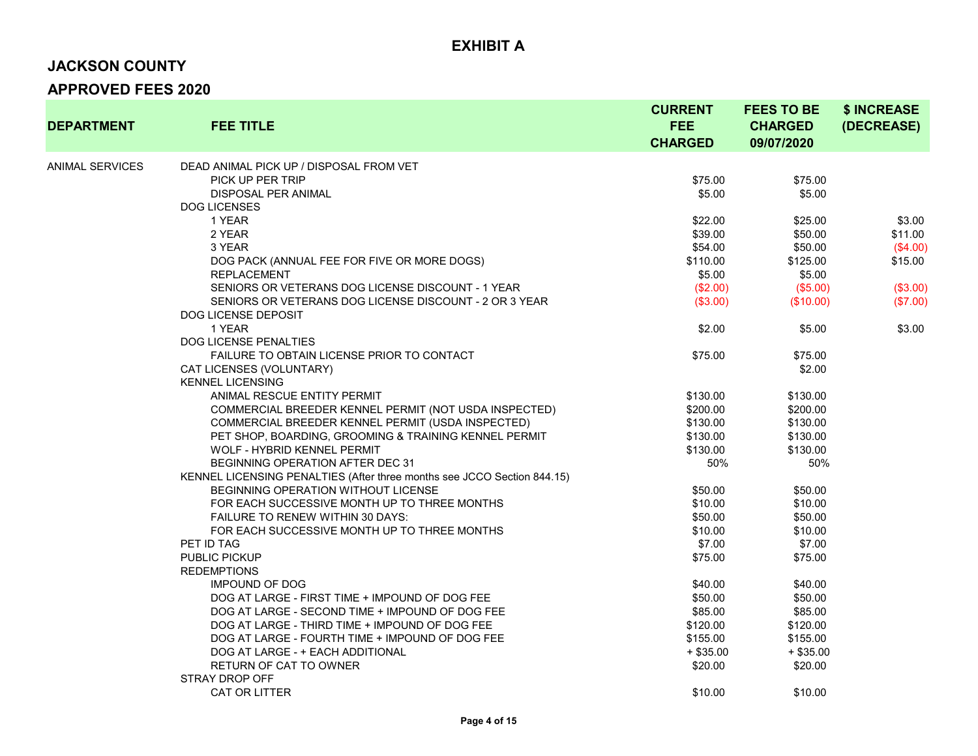#### **JACKSON COUNTY**

| <b>DEPARTMENT</b> | <b>FEE TITLE</b>                                                        | <b>CURRENT</b><br><b>FEE</b><br><b>CHARGED</b> | <b>FEES TO BE</b><br><b>CHARGED</b><br>09/07/2020 | \$ INCREASE<br>(DECREASE) |
|-------------------|-------------------------------------------------------------------------|------------------------------------------------|---------------------------------------------------|---------------------------|
|                   |                                                                         |                                                |                                                   |                           |
| ANIMAL SERVICES   | DEAD ANIMAL PICK UP / DISPOSAL FROM VET                                 |                                                |                                                   |                           |
|                   | PICK UP PER TRIP                                                        | \$75.00                                        | \$75.00                                           |                           |
|                   | DISPOSAL PER ANIMAL                                                     | \$5.00                                         | \$5.00                                            |                           |
|                   | <b>DOG LICENSES</b>                                                     |                                                |                                                   |                           |
|                   | 1 YEAR                                                                  | \$22.00                                        | \$25.00                                           | \$3.00                    |
|                   | 2 YEAR                                                                  | \$39.00                                        | \$50.00                                           | \$11.00                   |
|                   | 3 YEAR                                                                  | \$54.00                                        | \$50.00                                           | (\$4.00)                  |
|                   | DOG PACK (ANNUAL FEE FOR FIVE OR MORE DOGS)                             | \$110.00                                       | \$125.00                                          | \$15.00                   |
|                   | <b>REPLACEMENT</b>                                                      | \$5.00                                         | \$5.00                                            |                           |
|                   | SENIORS OR VETERANS DOG LICENSE DISCOUNT - 1 YEAR                       | (\$2.00)                                       | (\$5.00)                                          | (\$3.00)                  |
|                   | SENIORS OR VETERANS DOG LICENSE DISCOUNT - 2 OR 3 YEAR                  | (\$3.00)                                       | (\$10.00)                                         | (\$7.00)                  |
|                   | DOG LICENSE DEPOSIT                                                     |                                                |                                                   |                           |
|                   | 1 YEAR                                                                  | \$2.00                                         | \$5.00                                            | \$3.00                    |
|                   | <b>DOG LICENSE PENALTIES</b>                                            |                                                |                                                   |                           |
|                   | FAILURE TO OBTAIN LICENSE PRIOR TO CONTACT                              | \$75.00                                        | \$75.00                                           |                           |
|                   | CAT LICENSES (VOLUNTARY)                                                |                                                | \$2.00                                            |                           |
|                   | <b>KENNEL LICENSING</b>                                                 |                                                |                                                   |                           |
|                   | ANIMAL RESCUE ENTITY PERMIT                                             | \$130.00                                       | \$130.00                                          |                           |
|                   | COMMERCIAL BREEDER KENNEL PERMIT (NOT USDA INSPECTED)                   | \$200.00                                       | \$200.00                                          |                           |
|                   | COMMERCIAL BREEDER KENNEL PERMIT (USDA INSPECTED)                       | \$130.00                                       | \$130.00                                          |                           |
|                   | PET SHOP, BOARDING, GROOMING & TRAINING KENNEL PERMIT                   | \$130.00                                       | \$130.00                                          |                           |
|                   | WOLF - HYBRID KENNEL PERMIT                                             | \$130.00                                       | \$130.00                                          |                           |
|                   | BEGINNING OPERATION AFTER DEC 31                                        | 50%                                            | 50%                                               |                           |
|                   | KENNEL LICENSING PENALTIES (After three months see JCCO Section 844.15) |                                                |                                                   |                           |
|                   | <b>BEGINNING OPERATION WITHOUT LICENSE</b>                              | \$50.00                                        | \$50.00                                           |                           |
|                   | FOR EACH SUCCESSIVE MONTH UP TO THREE MONTHS                            | \$10.00                                        | \$10.00                                           |                           |
|                   | <b>FAILURE TO RENEW WITHIN 30 DAYS:</b>                                 | \$50.00                                        | \$50.00                                           |                           |
|                   | FOR EACH SUCCESSIVE MONTH UP TO THREE MONTHS                            | \$10.00                                        | \$10.00                                           |                           |
|                   | PET ID TAG                                                              | \$7.00                                         | \$7.00                                            |                           |
|                   | PUBLIC PICKUP                                                           | \$75.00                                        | \$75.00                                           |                           |
|                   | <b>REDEMPTIONS</b>                                                      |                                                |                                                   |                           |
|                   | <b>IMPOUND OF DOG</b>                                                   | \$40.00                                        | \$40.00                                           |                           |
|                   | DOG AT LARGE - FIRST TIME + IMPOUND OF DOG FEE                          | \$50.00                                        | \$50.00                                           |                           |
|                   | DOG AT LARGE - SECOND TIME + IMPOUND OF DOG FEE                         | \$85.00                                        | \$85.00                                           |                           |
|                   | DOG AT LARGE - THIRD TIME + IMPOUND OF DOG FEE                          | \$120.00                                       | \$120.00                                          |                           |
|                   | DOG AT LARGE - FOURTH TIME + IMPOUND OF DOG FEE                         | \$155.00                                       | \$155.00                                          |                           |
|                   | DOG AT LARGE - + EACH ADDITIONAL                                        | $+$ \$35.00                                    | $+$ \$35.00                                       |                           |
|                   | RETURN OF CAT TO OWNER                                                  | \$20.00                                        | \$20.00                                           |                           |
|                   | <b>STRAY DROP OFF</b>                                                   |                                                |                                                   |                           |
|                   | CAT OR LITTER                                                           | \$10.00                                        | \$10.00                                           |                           |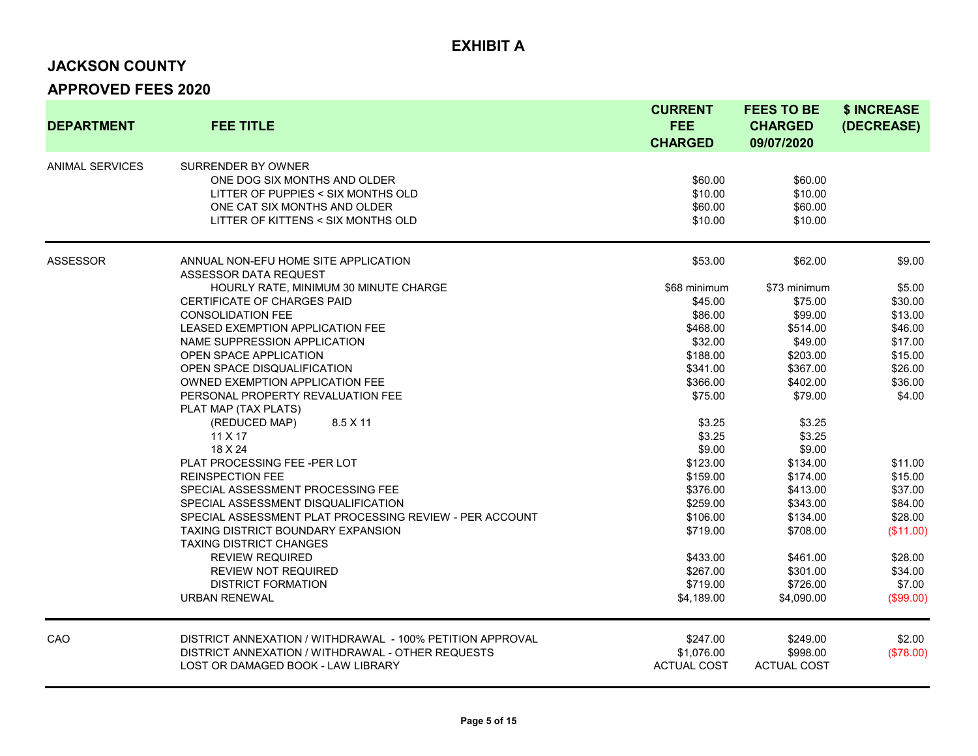#### **JACKSON COUNTY**

| <b>DEPARTMENT</b>      | <b>FEE TITLE</b>                                          | <b>CURRENT</b><br><b>FEE</b><br><b>CHARGED</b> | <b>FEES TO BE</b><br><b>CHARGED</b><br>09/07/2020 | \$ INCREASE<br>(DECREASE) |
|------------------------|-----------------------------------------------------------|------------------------------------------------|---------------------------------------------------|---------------------------|
| <b>ANIMAL SERVICES</b> | SURRENDER BY OWNER                                        |                                                |                                                   |                           |
|                        | ONE DOG SIX MONTHS AND OLDER                              | \$60.00                                        | \$60.00                                           |                           |
|                        | LITTER OF PUPPIES < SIX MONTHS OLD                        | \$10.00                                        | \$10.00                                           |                           |
|                        | ONE CAT SIX MONTHS AND OLDER                              | \$60.00                                        | \$60.00                                           |                           |
|                        | LITTER OF KITTENS < SIX MONTHS OLD                        | \$10.00                                        | \$10.00                                           |                           |
| <b>ASSESSOR</b>        | ANNUAL NON-EFU HOME SITE APPLICATION                      | \$53.00                                        | \$62.00                                           | \$9.00                    |
|                        | ASSESSOR DATA REQUEST                                     |                                                |                                                   |                           |
|                        | HOURLY RATE, MINIMUM 30 MINUTE CHARGE                     | \$68 minimum                                   | \$73 minimum                                      | \$5.00                    |
|                        | CERTIFICATE OF CHARGES PAID                               | \$45.00                                        | \$75.00                                           | \$30.00                   |
|                        | <b>CONSOLIDATION FEE</b>                                  | \$86.00                                        | \$99.00                                           | \$13.00                   |
|                        | <b>LEASED EXEMPTION APPLICATION FEE</b>                   | \$468.00                                       | \$514.00                                          | \$46.00                   |
|                        | NAME SUPPRESSION APPLICATION                              | \$32.00                                        | \$49.00                                           | \$17.00                   |
|                        | OPEN SPACE APPLICATION                                    | \$188.00                                       | \$203.00                                          | \$15.00                   |
|                        | OPEN SPACE DISQUALIFICATION                               | \$341.00                                       | \$367.00                                          | \$26.00                   |
|                        | OWNED EXEMPTION APPLICATION FEE                           | \$366.00                                       | \$402.00                                          | \$36.00                   |
|                        | PERSONAL PROPERTY REVALUATION FEE<br>PLAT MAP (TAX PLATS) | \$75.00                                        | \$79.00                                           | \$4.00                    |
|                        | (REDUCED MAP)<br>8.5 X 11                                 | \$3.25                                         | \$3.25                                            |                           |
|                        | 11 X 17                                                   | \$3.25                                         | \$3.25                                            |                           |
|                        | 18 X 24                                                   | \$9.00                                         | \$9.00                                            |                           |
|                        | PLAT PROCESSING FEE-PER LOT                               | \$123.00                                       | \$134.00                                          | \$11.00                   |
|                        | <b>REINSPECTION FEE</b>                                   | \$159.00                                       | \$174.00                                          | \$15.00                   |
|                        | SPECIAL ASSESSMENT PROCESSING FEE                         | \$376.00                                       | \$413.00                                          | \$37.00                   |
|                        | SPECIAL ASSESSMENT DISQUALIFICATION                       | \$259.00                                       | \$343.00                                          | \$84.00                   |
|                        | SPECIAL ASSESSMENT PLAT PROCESSING REVIEW - PER ACCOUNT   | \$106.00                                       | \$134.00                                          | \$28.00                   |
|                        | <b>TAXING DISTRICT BOUNDARY EXPANSION</b>                 | \$719.00                                       | \$708.00                                          | (\$11.00)                 |
|                        | <b>TAXING DISTRICT CHANGES</b>                            |                                                |                                                   |                           |
|                        | <b>REVIEW REQUIRED</b>                                    | \$433.00                                       | \$461.00                                          | \$28.00                   |
|                        | REVIEW NOT REQUIRED                                       | \$267.00                                       | \$301.00                                          | \$34.00                   |
|                        | <b>DISTRICT FORMATION</b>                                 | \$719.00                                       | \$726.00                                          | \$7.00                    |
|                        | <b>URBAN RENEWAL</b>                                      | \$4,189.00                                     | \$4,090.00                                        | (\$99.00)                 |
| CAO                    | DISTRICT ANNEXATION / WITHDRAWAL - 100% PETITION APPROVAL | \$247.00                                       | \$249.00                                          | \$2.00                    |
|                        | DISTRICT ANNEXATION / WITHDRAWAL - OTHER REQUESTS         | \$1,076.00                                     | \$998.00                                          | (\$78.00)                 |
|                        | LOST OR DAMAGED BOOK - LAW LIBRARY                        | <b>ACTUAL COST</b>                             | <b>ACTUAL COST</b>                                |                           |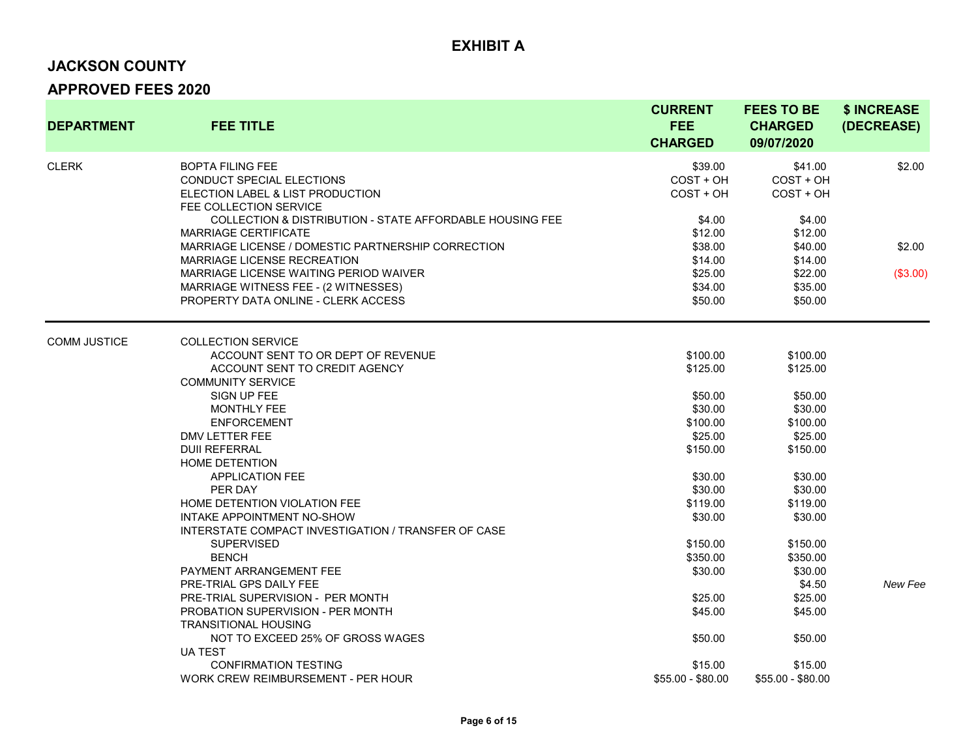# **JACKSON COUNTY**

| <b>DEPARTMENT</b>   | <b>FEE TITLE</b>                                                                                                   | <b>CURRENT</b><br><b>FEE</b><br><b>CHARGED</b> | <b>FEES TO BE</b><br><b>CHARGED</b><br>09/07/2020 | \$ INCREASE<br>(DECREASE) |
|---------------------|--------------------------------------------------------------------------------------------------------------------|------------------------------------------------|---------------------------------------------------|---------------------------|
| <b>CLERK</b>        | <b>BOPTA FILING FEE</b><br>CONDUCT SPECIAL ELECTIONS<br>ELECTION LABEL & LIST PRODUCTION<br>FEE COLLECTION SERVICE | \$39.00<br>COST + OH<br>$COST + OH$            | \$41.00<br>COST + OH<br>$COST + OH$               | \$2.00                    |
|                     | COLLECTION & DISTRIBUTION - STATE AFFORDABLE HOUSING FEE                                                           | \$4.00                                         | \$4.00                                            |                           |
|                     | <b>MARRIAGE CERTIFICATE</b>                                                                                        | \$12.00                                        | \$12.00                                           |                           |
|                     | MARRIAGE LICENSE / DOMESTIC PARTNERSHIP CORRECTION                                                                 | \$38.00                                        | \$40.00                                           | \$2.00                    |
|                     | <b>MARRIAGE LICENSE RECREATION</b>                                                                                 | \$14.00                                        | \$14.00                                           |                           |
|                     | MARRIAGE LICENSE WAITING PERIOD WAIVER                                                                             | \$25.00                                        | \$22.00                                           | (\$3.00)                  |
|                     | MARRIAGE WITNESS FEE - (2 WITNESSES)                                                                               | \$34.00                                        | \$35.00                                           |                           |
|                     | PROPERTY DATA ONLINE - CLERK ACCESS                                                                                | \$50.00                                        | \$50.00                                           |                           |
| <b>COMM JUSTICE</b> | <b>COLLECTION SERVICE</b>                                                                                          |                                                |                                                   |                           |
|                     | ACCOUNT SENT TO OR DEPT OF REVENUE                                                                                 | \$100.00                                       | \$100.00                                          |                           |
|                     | ACCOUNT SENT TO CREDIT AGENCY                                                                                      | \$125.00                                       | \$125.00                                          |                           |
|                     | <b>COMMUNITY SERVICE</b>                                                                                           |                                                |                                                   |                           |
|                     | SIGN UP FEE                                                                                                        | \$50.00                                        | \$50.00                                           |                           |
|                     | MONTHLY FEE                                                                                                        | \$30.00                                        | \$30.00                                           |                           |
|                     | <b>ENFORCEMENT</b>                                                                                                 | \$100.00                                       | \$100.00                                          |                           |
|                     | DMV LETTER FEE                                                                                                     | \$25.00                                        | \$25.00                                           |                           |
|                     | <b>DUII REFERRAL</b>                                                                                               | \$150.00                                       | \$150.00                                          |                           |
|                     | <b>HOME DETENTION</b>                                                                                              |                                                |                                                   |                           |
|                     | <b>APPLICATION FEE</b>                                                                                             | \$30.00                                        | \$30.00                                           |                           |
|                     | PER DAY                                                                                                            | \$30.00                                        | \$30.00                                           |                           |
|                     | HOME DETENTION VIOLATION FEE                                                                                       | \$119.00                                       | \$119.00                                          |                           |
|                     | <b>INTAKE APPOINTMENT NO-SHOW</b>                                                                                  | \$30.00                                        | \$30.00                                           |                           |
|                     | INTERSTATE COMPACT INVESTIGATION / TRANSFER OF CASE                                                                |                                                |                                                   |                           |
|                     | <b>SUPERVISED</b>                                                                                                  | \$150.00                                       | \$150.00                                          |                           |
|                     | <b>BENCH</b>                                                                                                       | \$350.00                                       | \$350.00                                          |                           |
|                     | PAYMENT ARRANGEMENT FEE                                                                                            | \$30.00                                        | \$30.00                                           |                           |
|                     | PRE-TRIAL GPS DAILY FEE                                                                                            |                                                | \$4.50                                            | New Fee                   |
|                     | PRE-TRIAL SUPERVISION - PER MONTH                                                                                  | \$25.00                                        | \$25.00                                           |                           |
|                     | PROBATION SUPERVISION - PER MONTH                                                                                  | \$45.00                                        | \$45.00                                           |                           |
|                     | <b>TRANSITIONAL HOUSING</b>                                                                                        |                                                |                                                   |                           |
|                     | NOT TO EXCEED 25% OF GROSS WAGES                                                                                   | \$50.00                                        | \$50.00                                           |                           |
|                     | <b>UA TEST</b>                                                                                                     |                                                |                                                   |                           |
|                     | <b>CONFIRMATION TESTING</b>                                                                                        | \$15.00                                        | \$15.00                                           |                           |
|                     | WORK CREW REIMBURSEMENT - PER HOUR                                                                                 | \$55.00 - \$80.00                              | \$55.00 - \$80.00                                 |                           |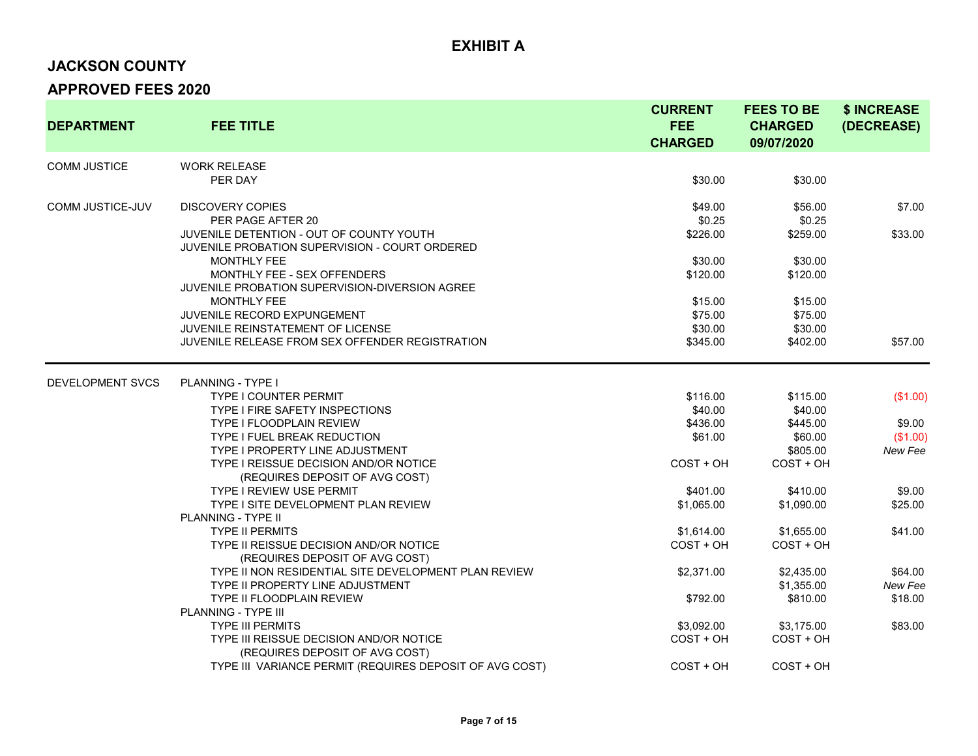# **JACKSON COUNTY**

| <b>DEPARTMENT</b>   | <b>FEE TITLE</b>                                                                                                           | <b>CURRENT</b><br><b>FEE</b><br><b>CHARGED</b> | <b>FEES TO BE</b><br><b>CHARGED</b><br>09/07/2020 | \$ INCREASE<br>(DECREASE)     |
|---------------------|----------------------------------------------------------------------------------------------------------------------------|------------------------------------------------|---------------------------------------------------|-------------------------------|
| <b>COMM JUSTICE</b> | <b>WORK RELEASE</b><br>PER DAY                                                                                             | \$30.00                                        | \$30.00                                           |                               |
| COMM JUSTICE-JUV    | <b>DISCOVERY COPIES</b><br>PER PAGE AFTER 20                                                                               | \$49.00<br>\$0.25                              | \$56.00<br>\$0.25                                 | \$7.00                        |
|                     | JUVENILE DETENTION - OUT OF COUNTY YOUTH<br>JUVENILE PROBATION SUPERVISION - COURT ORDERED                                 | \$226.00                                       | \$259.00                                          | \$33.00                       |
|                     | <b>MONTHLY FEE</b><br>MONTHLY FEE - SEX OFFENDERS<br>JUVENILE PROBATION SUPERVISION-DIVERSION AGREE                        | \$30.00<br>\$120.00                            | \$30.00<br>\$120.00                               |                               |
|                     | <b>MONTHLY FEE</b><br>JUVENILE RECORD EXPUNGEMENT                                                                          | \$15.00<br>\$75.00                             | \$15.00<br>\$75.00                                |                               |
|                     | <b>JUVENILE REINSTATEMENT OF LICENSE</b><br>JUVENILE RELEASE FROM SEX OFFENDER REGISTRATION                                | \$30.00<br>\$345.00                            | \$30.00<br>\$402.00                               | \$57.00                       |
| DEVELOPMENT SVCS    | <b>PLANNING - TYPE I</b>                                                                                                   |                                                |                                                   |                               |
|                     | <b>TYPE I COUNTER PERMIT</b><br><b>TYPE I FIRE SAFETY INSPECTIONS</b>                                                      | \$116.00<br>\$40.00                            | \$115.00<br>\$40.00                               | (\$1.00)                      |
|                     | TYPE I FLOODPLAIN REVIEW<br><b>TYPE I FUEL BREAK REDUCTION</b><br><b>TYPE I PROPERTY LINE ADJUSTMENT</b>                   | \$436.00<br>\$61.00                            | \$445.00<br>\$60.00<br>\$805.00                   | \$9.00<br>(\$1.00)<br>New Fee |
|                     | TYPE I REISSUE DECISION AND/OR NOTICE<br>(REQUIRES DEPOSIT OF AVG COST)                                                    | $COST + OH$                                    | $COST + OH$                                       |                               |
|                     | <b>TYPE I REVIEW USE PERMIT</b><br>TYPE I SITE DEVELOPMENT PLAN REVIEW                                                     | \$401.00<br>\$1,065.00                         | \$410.00<br>\$1,090.00                            | \$9.00<br>\$25.00             |
|                     | <b>PLANNING - TYPE II</b><br><b>TYPE II PERMITS</b><br>TYPE II REISSUE DECISION AND/OR NOTICE                              | \$1,614.00<br>$COST + OH$                      | \$1,655.00<br>$COST + OH$                         | \$41.00                       |
|                     | (REQUIRES DEPOSIT OF AVG COST)<br>TYPE II NON RESIDENTIAL SITE DEVELOPMENT PLAN REVIEW<br>TYPE II PROPERTY LINE ADJUSTMENT | \$2,371.00                                     | \$2,435.00<br>\$1,355.00                          | \$64.00<br>New Fee            |
|                     | <b>TYPE II FLOODPLAIN REVIEW</b><br>PLANNING - TYPE III                                                                    | \$792.00                                       | \$810.00                                          | \$18.00                       |
|                     | <b>TYPE III PERMITS</b><br>TYPE III REISSUE DECISION AND/OR NOTICE<br>(REQUIRES DEPOSIT OF AVG COST)                       | \$3,092.00<br>$COST + OH$                      | \$3,175.00<br>$COST + OH$                         | \$83.00                       |
|                     | TYPE III VARIANCE PERMIT (REQUIRES DEPOSIT OF AVG COST)                                                                    | $COST + OH$                                    | $COST + OH$                                       |                               |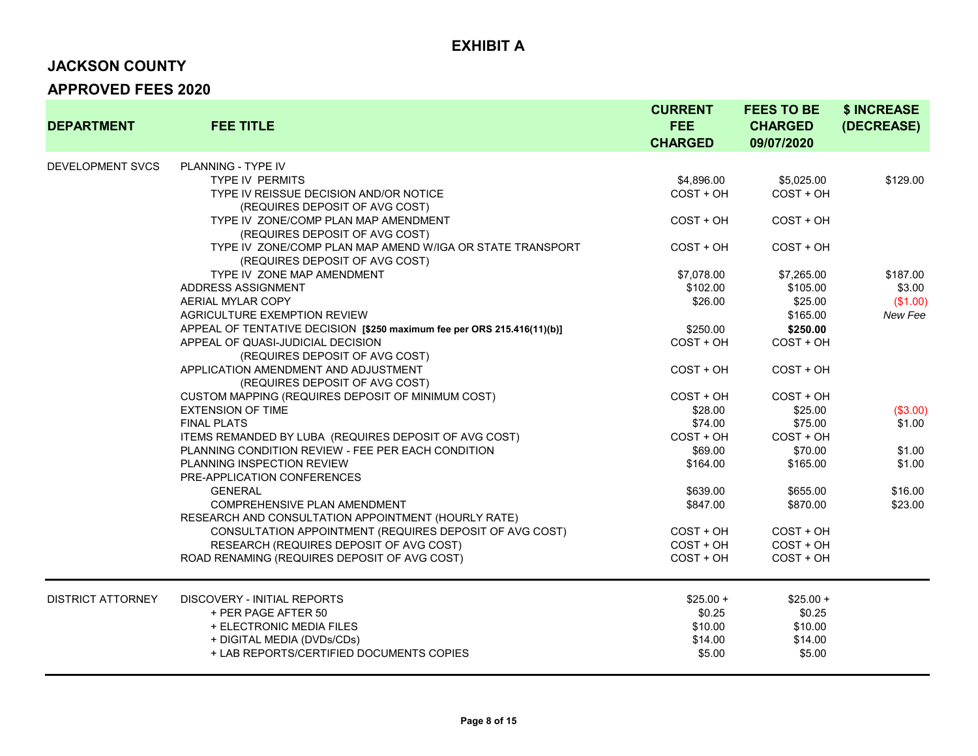### **JACKSON COUNTY**

| <b>DEPARTMENT</b>        | <b>FEE TITLE</b>                                                                            | <b>CURRENT</b><br><b>FEE</b><br><b>CHARGED</b> | <b>FEES TO BE</b><br><b>CHARGED</b><br>09/07/2020 | \$ INCREASE<br>(DECREASE) |
|--------------------------|---------------------------------------------------------------------------------------------|------------------------------------------------|---------------------------------------------------|---------------------------|
| <b>DEVELOPMENT SVCS</b>  | <b>PLANNING - TYPE IV</b>                                                                   |                                                |                                                   |                           |
|                          | <b>TYPE IV PERMITS</b>                                                                      | \$4,896.00                                     | \$5,025.00                                        | \$129.00                  |
|                          | TYPE IV REISSUE DECISION AND/OR NOTICE                                                      | $COST + OH$                                    | $COST + OH$                                       |                           |
|                          | (REQUIRES DEPOSIT OF AVG COST)                                                              |                                                |                                                   |                           |
|                          | TYPE IV ZONE/COMP PLAN MAP AMENDMENT                                                        | COST + OH                                      | $COST + OH$                                       |                           |
|                          | (REQUIRES DEPOSIT OF AVG COST)                                                              |                                                |                                                   |                           |
|                          | TYPE IV ZONE/COMP PLAN MAP AMEND W/IGA OR STATE TRANSPORT<br>(REQUIRES DEPOSIT OF AVG COST) | COST + OH                                      | COST + OH                                         |                           |
|                          | TYPE IV ZONE MAP AMENDMENT                                                                  | \$7,078.00                                     | \$7,265.00                                        | \$187.00                  |
|                          | ADDRESS ASSIGNMENT                                                                          | \$102.00                                       | \$105.00                                          | \$3.00                    |
|                          | AERIAL MYLAR COPY                                                                           | \$26.00                                        | \$25.00                                           | (\$1.00)                  |
|                          | AGRICULTURE EXEMPTION REVIEW                                                                |                                                | \$165.00                                          | New Fee                   |
|                          | APPEAL OF TENTATIVE DECISION [\$250 maximum fee per ORS 215.416(11)(b)]                     | \$250.00                                       | \$250.00                                          |                           |
|                          | APPEAL OF QUASI-JUDICIAL DECISION                                                           | $COST + OH$                                    | $COST + OH$                                       |                           |
|                          | (REQUIRES DEPOSIT OF AVG COST)                                                              |                                                |                                                   |                           |
|                          | APPLICATION AMENDMENT AND ADJUSTMENT                                                        | COST + OH                                      | $COST + OH$                                       |                           |
|                          | (REQUIRES DEPOSIT OF AVG COST)                                                              |                                                |                                                   |                           |
|                          | CUSTOM MAPPING (REQUIRES DEPOSIT OF MINIMUM COST)                                           | COST + OH                                      | $COST + OH$                                       |                           |
|                          | <b>EXTENSION OF TIME</b>                                                                    | \$28.00                                        | \$25.00                                           | (\$3.00)                  |
|                          | <b>FINAL PLATS</b>                                                                          | \$74.00                                        | \$75.00                                           | \$1.00                    |
|                          | ITEMS REMANDED BY LUBA (REQUIRES DEPOSIT OF AVG COST)                                       | $COST + OH$                                    | $COST + OH$                                       |                           |
|                          | PLANNING CONDITION REVIEW - FEE PER EACH CONDITION                                          | \$69.00                                        | \$70.00                                           | \$1.00                    |
|                          | PLANNING INSPECTION REVIEW                                                                  | \$164.00                                       | \$165.00                                          | \$1.00                    |
|                          | PRE-APPLICATION CONFERENCES                                                                 |                                                |                                                   |                           |
|                          | <b>GENERAL</b>                                                                              | \$639.00                                       | \$655.00                                          | \$16.00                   |
|                          | COMPREHENSIVE PLAN AMENDMENT<br>RESEARCH AND CONSULTATION APPOINTMENT (HOURLY RATE)         | \$847.00                                       | \$870.00                                          | \$23.00                   |
|                          | CONSULTATION APPOINTMENT (REQUIRES DEPOSIT OF AVG COST)                                     | COST + OH                                      | $COST + OH$                                       |                           |
|                          | RESEARCH (REQUIRES DEPOSIT OF AVG COST)                                                     | $COST + OH$                                    | $COST + OH$                                       |                           |
|                          | ROAD RENAMING (REQUIRES DEPOSIT OF AVG COST)                                                | $COST + OH$                                    | COST + OH                                         |                           |
|                          |                                                                                             |                                                |                                                   |                           |
| <b>DISTRICT ATTORNEY</b> | <b>DISCOVERY - INITIAL REPORTS</b>                                                          | $$25.00 +$                                     | $$25.00 +$                                        |                           |
|                          | + PER PAGE AFTER 50                                                                         | \$0.25                                         | \$0.25                                            |                           |
|                          | + ELECTRONIC MEDIA FILES                                                                    | \$10.00                                        | \$10.00                                           |                           |
|                          | + DIGITAL MEDIA (DVDs/CDs)                                                                  | \$14.00                                        | \$14.00                                           |                           |
|                          | + LAB REPORTS/CERTIFIED DOCUMENTS COPIES                                                    | \$5.00                                         | \$5.00                                            |                           |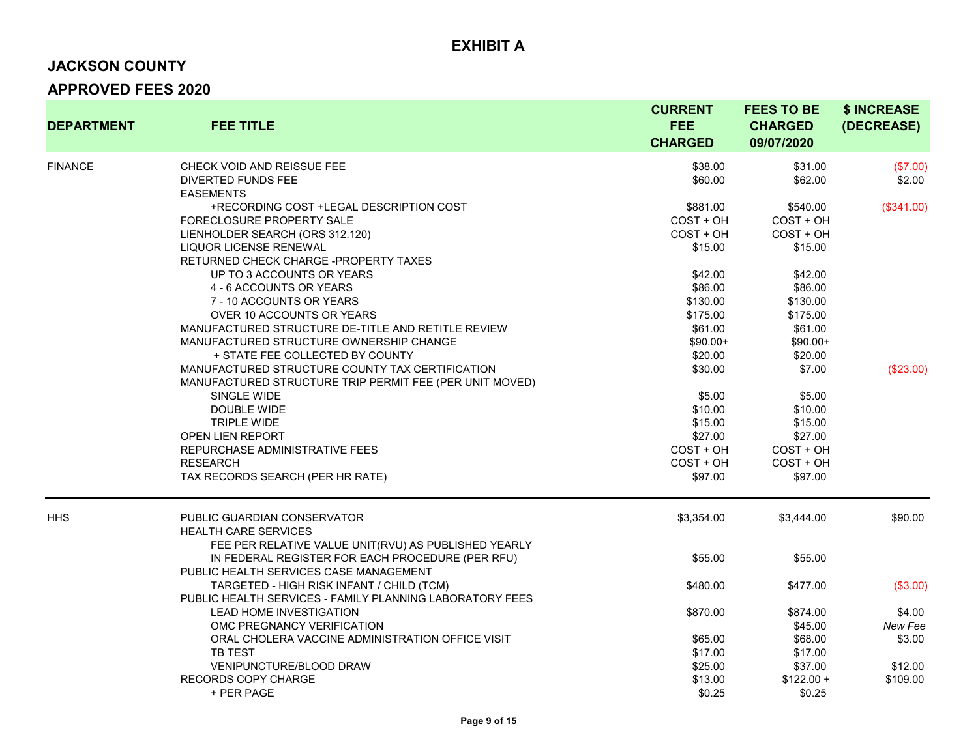### **JACKSON COUNTY**

| <b>DEPARTMENT</b> | <b>FEE TITLE</b>                                                                                                                         | <b>CURRENT</b><br><b>FEE</b><br><b>CHARGED</b> | <b>FEES TO BE</b><br><b>CHARGED</b><br>09/07/2020 | \$ INCREASE<br>(DECREASE) |
|-------------------|------------------------------------------------------------------------------------------------------------------------------------------|------------------------------------------------|---------------------------------------------------|---------------------------|
| <b>FINANCE</b>    | CHECK VOID AND REISSUE FEE<br><b>DIVERTED FUNDS FEE</b>                                                                                  | \$38.00<br>\$60.00                             | \$31.00<br>\$62.00                                | (\$7.00)<br>\$2.00        |
|                   | <b>EASEMENTS</b><br>+RECORDING COST +LEGAL DESCRIPTION COST<br>FORECLOSURE PROPERTY SALE<br>LIENHOLDER SEARCH (ORS 312.120)              | \$881.00<br>COST + OH<br>$COST + OH$           | \$540.00<br>COST + OH<br>COST + OH                | (\$341.00)                |
|                   | <b>LIQUOR LICENSE RENEWAL</b><br>RETURNED CHECK CHARGE -PROPERTY TAXES<br>UP TO 3 ACCOUNTS OR YEARS                                      | \$15.00<br>\$42.00                             | \$15.00<br>\$42.00                                |                           |
|                   | 4 - 6 ACCOUNTS OR YEARS<br>7 - 10 ACCOUNTS OR YEARS<br>OVER 10 ACCOUNTS OR YEARS                                                         | \$86.00<br>\$130.00<br>\$175.00                | \$86.00<br>\$130.00<br>\$175.00                   |                           |
|                   | MANUFACTURED STRUCTURE DE-TITLE AND RETITLE REVIEW<br>MANUFACTURED STRUCTURE OWNERSHIP CHANGE<br>+ STATE FEE COLLECTED BY COUNTY         | \$61.00<br>$$90.00+$<br>\$20.00                | \$61.00<br>$$90.00+$<br>\$20.00                   |                           |
|                   | MANUFACTURED STRUCTURE COUNTY TAX CERTIFICATION<br>MANUFACTURED STRUCTURE TRIP PERMIT FEE (PER UNIT MOVED)<br>SINGLE WIDE<br>DOUBLE WIDE | \$30.00<br>\$5.00<br>\$10.00                   | \$7.00<br>\$5.00<br>\$10.00                       | (\$23.00)                 |
|                   | <b>TRIPLE WIDE</b><br>OPEN LIEN REPORT<br>REPURCHASE ADMINISTRATIVE FEES                                                                 | \$15.00<br>\$27.00<br>COST + OH                | \$15.00<br>\$27.00<br>COST + OH                   |                           |
|                   | <b>RESEARCH</b><br>TAX RECORDS SEARCH (PER HR RATE)                                                                                      | COST + OH<br>\$97.00                           | $COST + OH$<br>\$97.00                            |                           |
| <b>HHS</b>        | PUBLIC GUARDIAN CONSERVATOR<br><b>HEALTH CARE SERVICES</b><br>FEE PER RELATIVE VALUE UNIT(RVU) AS PUBLISHED YEARLY                       | \$3,354.00                                     | \$3,444.00                                        | \$90.00                   |
|                   | IN FEDERAL REGISTER FOR EACH PROCEDURE (PER RFU)<br>PUBLIC HEALTH SERVICES CASE MANAGEMENT                                               | \$55.00                                        | \$55.00                                           |                           |
|                   | TARGETED - HIGH RISK INFANT / CHILD (TCM)<br>PUBLIC HEALTH SERVICES - FAMILY PLANNING LABORATORY FEES                                    | \$480.00                                       | \$477.00                                          | (\$3.00)                  |
|                   | LEAD HOME INVESTIGATION<br>OMC PREGNANCY VERIFICATION                                                                                    | \$870.00                                       | \$874.00<br>\$45.00                               | \$4.00<br>New Fee         |
|                   | ORAL CHOLERA VACCINE ADMINISTRATION OFFICE VISIT<br>TB TEST                                                                              | \$65.00<br>\$17.00                             | \$68.00<br>\$17.00                                | \$3.00                    |
|                   | VENIPUNCTURE/BLOOD DRAW<br>RECORDS COPY CHARGE<br>+ PER PAGE                                                                             | \$25.00<br>\$13.00<br>\$0.25                   | \$37.00<br>$$122.00 +$<br>\$0.25                  | \$12.00<br>\$109.00       |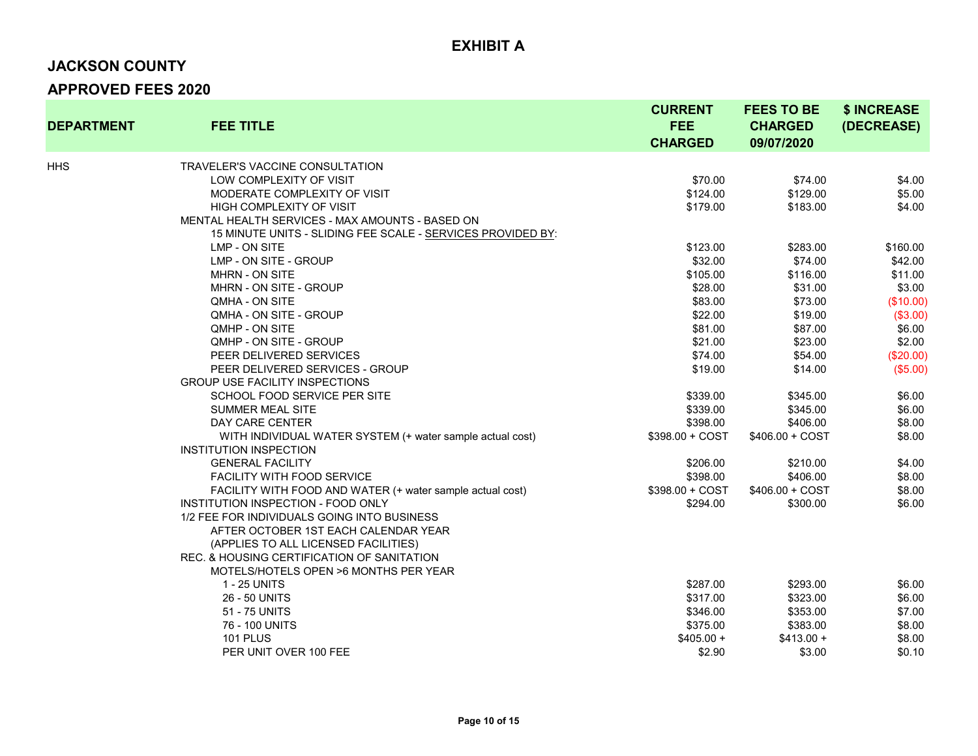# **JACKSON COUNTY**

| <b>DEPARTMENT</b> | <b>FEE TITLE</b>                                            | <b>CURRENT</b><br><b>FEE</b><br><b>CHARGED</b> | <b>FEES TO BE</b><br><b>CHARGED</b><br>09/07/2020 | \$ INCREASE<br>(DECREASE) |
|-------------------|-------------------------------------------------------------|------------------------------------------------|---------------------------------------------------|---------------------------|
| HHS               | <b>TRAVELER'S VACCINE CONSULTATION</b>                      |                                                |                                                   |                           |
|                   | LOW COMPLEXITY OF VISIT                                     | \$70.00                                        | \$74.00                                           | \$4.00                    |
|                   | MODERATE COMPLEXITY OF VISIT                                | \$124.00                                       | \$129.00                                          | \$5.00                    |
|                   | <b>HIGH COMPLEXITY OF VISIT</b>                             | \$179.00                                       | \$183.00                                          | \$4.00                    |
|                   | MENTAL HEALTH SERVICES - MAX AMOUNTS - BASED ON             |                                                |                                                   |                           |
|                   | 15 MINUTE UNITS - SLIDING FEE SCALE - SERVICES PROVIDED BY: |                                                |                                                   |                           |
|                   | LMP - ON SITE                                               | \$123.00                                       | \$283.00                                          | \$160.00                  |
|                   | LMP - ON SITE - GROUP                                       | \$32.00                                        | \$74.00                                           | \$42.00                   |
|                   | <b>MHRN - ON SITE</b>                                       | \$105.00                                       | \$116.00                                          | \$11.00                   |
|                   | MHRN - ON SITE - GROUP                                      | \$28.00                                        | \$31.00                                           | \$3.00                    |
|                   | QMHA - ON SITE                                              | \$83.00                                        | \$73.00                                           | (\$10.00)                 |
|                   | QMHA - ON SITE - GROUP                                      | \$22.00                                        | \$19.00                                           | (\$3.00)                  |
|                   | QMHP - ON SITE                                              | \$81.00                                        | \$87.00                                           | \$6.00                    |
|                   | QMHP - ON SITE - GROUP                                      | \$21.00                                        | \$23.00                                           | \$2.00                    |
|                   | PEER DELIVERED SERVICES                                     | \$74.00                                        | \$54.00                                           | (\$20.00)                 |
|                   | PEER DELIVERED SERVICES - GROUP                             | \$19.00                                        | \$14.00                                           | (\$5.00)                  |
|                   | <b>GROUP USE FACILITY INSPECTIONS</b>                       |                                                |                                                   |                           |
|                   | SCHOOL FOOD SERVICE PER SITE                                | \$339.00                                       | \$345.00                                          | \$6.00                    |
|                   | <b>SUMMER MEAL SITE</b>                                     | \$339.00                                       | \$345.00                                          | \$6.00                    |
|                   | DAY CARE CENTER                                             | \$398.00                                       | \$406.00                                          | \$8.00                    |
|                   | WITH INDIVIDUAL WATER SYSTEM (+ water sample actual cost)   | $$398.00 + COST$                               | $$406.00 + COST$                                  | \$8.00                    |
|                   | <b>INSTITUTION INSPECTION</b>                               |                                                |                                                   |                           |
|                   | <b>GENERAL FACILITY</b>                                     | \$206.00                                       | \$210.00                                          | \$4.00                    |
|                   | <b>FACILITY WITH FOOD SERVICE</b>                           | \$398.00                                       | \$406.00                                          | \$8.00                    |
|                   | FACILITY WITH FOOD AND WATER (+ water sample actual cost)   | $$398.00 + COST$                               | $$406.00 + COST$                                  | \$8.00                    |
|                   | INSTITUTION INSPECTION - FOOD ONLY                          | \$294.00                                       | \$300.00                                          | \$6.00                    |
|                   | 1/2 FEE FOR INDIVIDUALS GOING INTO BUSINESS                 |                                                |                                                   |                           |
|                   | AFTER OCTOBER 1ST EACH CALENDAR YEAR                        |                                                |                                                   |                           |
|                   | (APPLIES TO ALL LICENSED FACILITIES)                        |                                                |                                                   |                           |
|                   | REC. & HOUSING CERTIFICATION OF SANITATION                  |                                                |                                                   |                           |
|                   | MOTELS/HOTELS OPEN >6 MONTHS PER YEAR                       |                                                |                                                   |                           |
|                   | 1 - 25 UNITS                                                | \$287.00                                       | \$293.00                                          | \$6.00                    |
|                   | 26 - 50 UNITS                                               | \$317.00                                       | \$323.00                                          | \$6.00                    |
|                   | 51 - 75 UNITS                                               | \$346.00                                       | \$353.00                                          | \$7.00                    |
|                   | 76 - 100 UNITS                                              | \$375.00                                       | \$383.00                                          | \$8.00                    |
|                   | <b>101 PLUS</b>                                             | $$405.00 +$                                    | $$413.00 +$                                       | \$8.00                    |
|                   | PER UNIT OVER 100 FEE                                       | \$2.90                                         | \$3.00                                            | \$0.10                    |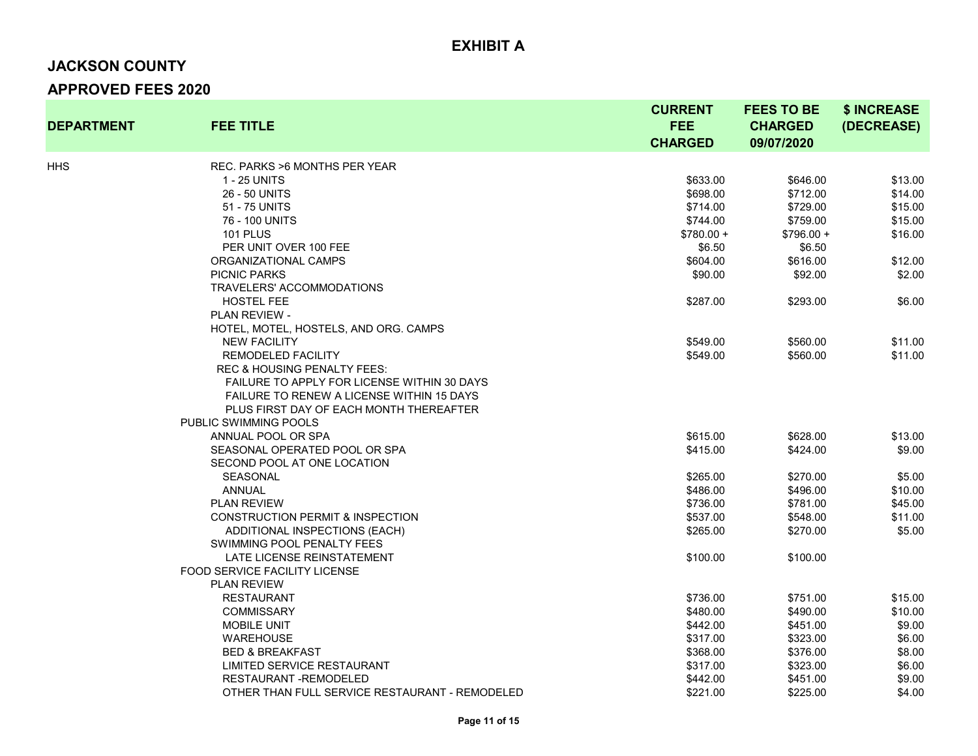# **JACKSON COUNTY APPROVED FEES 2020**

| <b>DEPARTMENT</b> | <b>FEE TITLE</b>                                 | <b>CURRENT</b><br><b>FEE</b><br><b>CHARGED</b> | <b>FEES TO BE</b><br><b>CHARGED</b><br>09/07/2020 | \$ INCREASE<br>(DECREASE) |
|-------------------|--------------------------------------------------|------------------------------------------------|---------------------------------------------------|---------------------------|
| HHS               | REC. PARKS > 6 MONTHS PER YEAR                   |                                                |                                                   |                           |
|                   | 1 - 25 UNITS                                     | \$633.00                                       | \$646.00                                          | \$13.00                   |
|                   | 26 - 50 UNITS                                    | \$698.00                                       | \$712.00                                          | \$14.00                   |
|                   | 51 - 75 UNITS                                    | \$714.00                                       | \$729.00                                          | \$15.00                   |
|                   | 76 - 100 UNITS                                   | \$744.00                                       | \$759.00                                          | \$15.00                   |
|                   | <b>101 PLUS</b>                                  | $$780.00 +$                                    | $$796.00 +$                                       | \$16.00                   |
|                   | PER UNIT OVER 100 FEE                            | \$6.50                                         | \$6.50                                            |                           |
|                   | ORGANIZATIONAL CAMPS                             | \$604.00                                       | \$616.00                                          | \$12.00                   |
|                   | <b>PICNIC PARKS</b>                              | \$90.00                                        | \$92.00                                           | \$2.00                    |
|                   | TRAVELERS' ACCOMMODATIONS                        |                                                |                                                   |                           |
|                   | <b>HOSTEL FEE</b>                                | \$287.00                                       | \$293.00                                          | \$6.00                    |
|                   | PLAN REVIEW -                                    |                                                |                                                   |                           |
|                   | HOTEL, MOTEL, HOSTELS, AND ORG. CAMPS            |                                                |                                                   |                           |
|                   | <b>NEW FACILITY</b>                              | \$549.00                                       | \$560.00                                          | \$11.00                   |
|                   | <b>REMODELED FACILITY</b>                        | \$549.00                                       | \$560.00                                          | \$11.00                   |
|                   | <b>REC &amp; HOUSING PENALTY FEES:</b>           |                                                |                                                   |                           |
|                   | FAILURE TO APPLY FOR LICENSE WITHIN 30 DAYS      |                                                |                                                   |                           |
|                   | <b>FAILURE TO RENEW A LICENSE WITHIN 15 DAYS</b> |                                                |                                                   |                           |
|                   | PLUS FIRST DAY OF EACH MONTH THEREAFTER          |                                                |                                                   |                           |
|                   | PUBLIC SWIMMING POOLS                            |                                                |                                                   |                           |
|                   | ANNUAL POOL OR SPA                               | \$615.00                                       | \$628.00                                          | \$13.00                   |
|                   | SEASONAL OPERATED POOL OR SPA                    | \$415.00                                       | \$424.00                                          | \$9.00                    |
|                   | SECOND POOL AT ONE LOCATION                      |                                                |                                                   |                           |
|                   | <b>SEASONAL</b>                                  | \$265.00                                       | \$270.00                                          | \$5.00                    |
|                   | <b>ANNUAL</b>                                    | \$486.00                                       | \$496.00                                          | \$10.00                   |
|                   | <b>PLAN REVIEW</b>                               | \$736.00                                       | \$781.00                                          | \$45.00                   |
|                   | <b>CONSTRUCTION PERMIT &amp; INSPECTION</b>      | \$537.00                                       | \$548.00                                          | \$11.00                   |
|                   | ADDITIONAL INSPECTIONS (EACH)                    | \$265.00                                       | \$270.00                                          | \$5.00                    |
|                   | SWIMMING POOL PENALTY FEES                       |                                                |                                                   |                           |
|                   | LATE LICENSE REINSTATEMENT                       | \$100.00                                       | \$100.00                                          |                           |
|                   | <b>FOOD SERVICE FACILITY LICENSE</b>             |                                                |                                                   |                           |
|                   | <b>PLAN REVIEW</b>                               |                                                |                                                   |                           |
|                   | <b>RESTAURANT</b>                                | \$736.00                                       | \$751.00                                          | \$15.00                   |
|                   | <b>COMMISSARY</b>                                | \$480.00                                       | \$490.00                                          | \$10.00                   |
|                   | <b>MOBILE UNIT</b>                               | \$442.00                                       | \$451.00                                          | \$9.00                    |
|                   | <b>WAREHOUSE</b>                                 | \$317.00                                       | \$323.00                                          | \$6.00                    |
|                   | <b>BED &amp; BREAKFAST</b>                       | \$368.00                                       | \$376.00                                          | \$8.00                    |
|                   | LIMITED SERVICE RESTAURANT                       | \$317.00                                       | \$323.00                                          | \$6.00                    |
|                   | <b>RESTAURANT - REMODELED</b>                    | \$442.00                                       | \$451.00                                          | \$9.00                    |
|                   | OTHER THAN FULL SERVICE RESTAURANT - REMODELED   | \$221.00                                       | \$225.00                                          | \$4.00                    |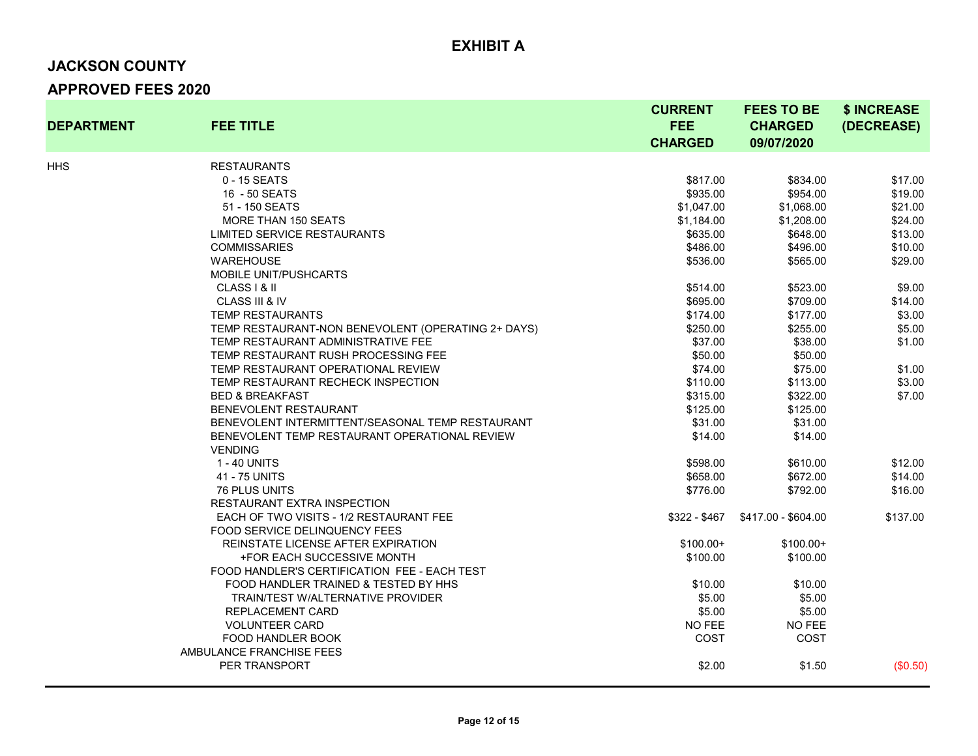# **JACKSON COUNTY APPROVED FEES 2020**

| <b>DEPARTMENT</b> | <b>FEE TITLE</b>                                   | <b>CURRENT</b><br><b>FEE</b><br><b>CHARGED</b> | <b>FEES TO BE</b><br><b>CHARGED</b><br>09/07/2020 | \$ INCREASE<br>(DECREASE) |
|-------------------|----------------------------------------------------|------------------------------------------------|---------------------------------------------------|---------------------------|
| HHS               | <b>RESTAURANTS</b>                                 |                                                |                                                   |                           |
|                   | 0 - 15 SEATS                                       | \$817.00                                       | \$834.00                                          | \$17.00                   |
|                   | 16 - 50 SEATS                                      | \$935.00                                       | \$954.00                                          | \$19.00                   |
|                   | 51 - 150 SEATS                                     | \$1,047.00                                     | \$1,068.00                                        | \$21.00                   |
|                   | <b>MORE THAN 150 SEATS</b>                         | \$1,184.00                                     | \$1,208.00                                        | \$24.00                   |
|                   | LIMITED SERVICE RESTAURANTS                        | \$635.00                                       | \$648.00                                          | \$13.00                   |
|                   | <b>COMMISSARIES</b>                                | \$486.00                                       | \$496.00                                          | \$10.00                   |
|                   | <b>WAREHOUSE</b>                                   | \$536.00                                       | \$565.00                                          | \$29.00                   |
|                   | <b>MOBILE UNIT/PUSHCARTS</b>                       |                                                |                                                   |                           |
|                   | CLASS   & II                                       | \$514.00                                       | \$523.00                                          | \$9.00                    |
|                   | CLASS III & IV                                     | \$695.00                                       | \$709.00                                          | \$14.00                   |
|                   | <b>TEMP RESTAURANTS</b>                            | \$174.00                                       | \$177.00                                          | \$3.00                    |
|                   | TEMP RESTAURANT-NON BENEVOLENT (OPERATING 2+ DAYS) | \$250.00                                       | \$255.00                                          | \$5.00                    |
|                   | TEMP RESTAURANT ADMINISTRATIVE FEE                 | \$37.00                                        | \$38.00                                           | \$1.00                    |
|                   | TEMP RESTAURANT RUSH PROCESSING FEE                | \$50.00                                        | \$50.00                                           |                           |
|                   | TEMP RESTAURANT OPERATIONAL REVIEW                 | \$74.00                                        | \$75.00                                           | \$1.00                    |
|                   | TEMP RESTAURANT RECHECK INSPECTION                 | \$110.00                                       | \$113.00                                          | \$3.00                    |
|                   | <b>BED &amp; BREAKFAST</b>                         | \$315.00                                       | \$322.00                                          | \$7.00                    |
|                   | <b>BENEVOLENT RESTAURANT</b>                       | \$125.00                                       | \$125.00                                          |                           |
|                   | BENEVOLENT INTERMITTENT/SEASONAL TEMP RESTAURANT   | \$31.00                                        | \$31.00                                           |                           |
|                   | BENEVOLENT TEMP RESTAURANT OPERATIONAL REVIEW      | \$14.00                                        | \$14.00                                           |                           |
|                   | <b>VENDING</b>                                     |                                                |                                                   |                           |
|                   | 1 - 40 UNITS                                       | \$598.00                                       | \$610.00                                          | \$12.00                   |
|                   | 41 - 75 UNITS                                      | \$658.00                                       | \$672.00                                          | \$14.00                   |
|                   | <b>76 PLUS UNITS</b>                               | \$776.00                                       | \$792.00                                          | \$16.00                   |
|                   | <b>RESTAURANT EXTRA INSPECTION</b>                 |                                                |                                                   |                           |
|                   | EACH OF TWO VISITS - 1/2 RESTAURANT FEE            | $$322 - $467$                                  | \$417.00 - \$604.00                               | \$137.00                  |
|                   | FOOD SERVICE DELINQUENCY FEES                      |                                                |                                                   |                           |
|                   | REINSTATE LICENSE AFTER EXPIRATION                 | $$100.00+$                                     | $$100.00+$                                        |                           |
|                   | +FOR EACH SUCCESSIVE MONTH                         | \$100.00                                       | \$100.00                                          |                           |
|                   | FOOD HANDLER'S CERTIFICATION FEE - EACH TEST       |                                                |                                                   |                           |
|                   | FOOD HANDLER TRAINED & TESTED BY HHS               | \$10.00                                        | \$10.00                                           |                           |
|                   | <b>TRAIN/TEST W/ALTERNATIVE PROVIDER</b>           | \$5.00                                         | \$5.00                                            |                           |
|                   | REPLACEMENT CARD                                   | \$5.00                                         | \$5.00                                            |                           |
|                   | <b>VOLUNTEER CARD</b>                              | <b>NO FEE</b>                                  | NO FEE                                            |                           |
|                   | FOOD HANDLER BOOK                                  | COST                                           | COST                                              |                           |
|                   | AMBULANCE FRANCHISE FEES                           |                                                |                                                   |                           |
|                   | PER TRANSPORT                                      | \$2.00                                         | \$1.50                                            | (\$0.50)                  |
|                   |                                                    |                                                |                                                   |                           |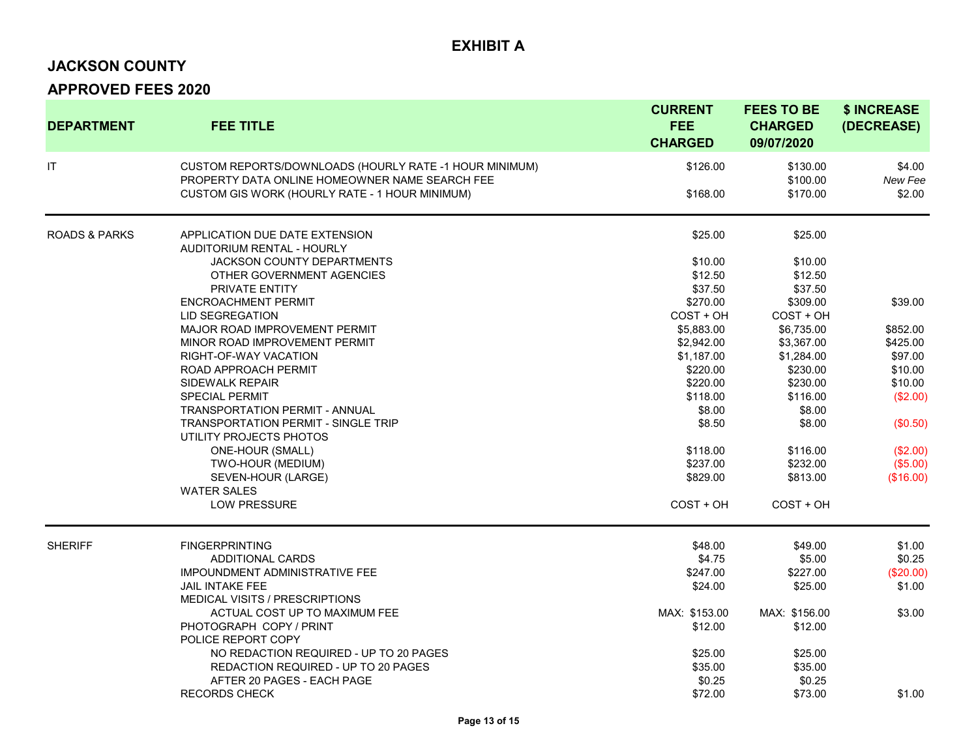#### **JACKSON COUNTY**

| <b>DEPARTMENT</b>        | <b>FEE TITLE</b>                                                                                         | <b>CURRENT</b><br><b>FEE</b><br><b>CHARGED</b> | <b>FEES TO BE</b><br><b>CHARGED</b><br>09/07/2020 | \$ INCREASE<br>(DECREASE) |
|--------------------------|----------------------------------------------------------------------------------------------------------|------------------------------------------------|---------------------------------------------------|---------------------------|
| IT                       | CUSTOM REPORTS/DOWNLOADS (HOURLY RATE -1 HOUR MINIMUM)<br>PROPERTY DATA ONLINE HOMEOWNER NAME SEARCH FEE | \$126.00                                       | \$130.00<br>\$100.00                              | \$4.00<br>New Fee         |
|                          | CUSTOM GIS WORK (HOURLY RATE - 1 HOUR MINIMUM)                                                           | \$168.00                                       | \$170.00                                          | \$2.00                    |
| <b>ROADS &amp; PARKS</b> | APPLICATION DUE DATE EXTENSION<br><b>AUDITORIUM RENTAL - HOURLY</b>                                      | \$25.00                                        | \$25.00                                           |                           |
|                          | JACKSON COUNTY DEPARTMENTS                                                                               | \$10.00                                        | \$10.00                                           |                           |
|                          | OTHER GOVERNMENT AGENCIES                                                                                | \$12.50                                        | \$12.50                                           |                           |
|                          | <b>PRIVATE ENTITY</b>                                                                                    | \$37.50                                        | \$37.50                                           |                           |
|                          | <b>ENCROACHMENT PERMIT</b>                                                                               | \$270.00                                       | \$309.00                                          | \$39.00                   |
|                          | LID SEGREGATION                                                                                          | COST + OH                                      | COST + OH                                         |                           |
|                          | MAJOR ROAD IMPROVEMENT PERMIT                                                                            | \$5,883.00                                     | \$6,735.00                                        | \$852.00                  |
|                          | MINOR ROAD IMPROVEMENT PERMIT                                                                            | \$2,942.00                                     | \$3,367.00                                        | \$425.00                  |
|                          | RIGHT-OF-WAY VACATION                                                                                    | \$1,187.00                                     | \$1,284.00                                        | \$97.00                   |
|                          | ROAD APPROACH PERMIT                                                                                     | \$220.00                                       | \$230.00                                          | \$10.00                   |
|                          | SIDEWALK REPAIR                                                                                          | \$220.00                                       | \$230.00                                          | \$10.00                   |
|                          | <b>SPECIAL PERMIT</b>                                                                                    | \$118.00                                       | \$116.00                                          | (\$2.00)                  |
|                          | <b>TRANSPORTATION PERMIT - ANNUAL</b>                                                                    | \$8.00                                         | \$8.00                                            |                           |
|                          | <b>TRANSPORTATION PERMIT - SINGLE TRIP</b>                                                               | \$8.50                                         | \$8.00                                            | (\$0.50)                  |
|                          | UTILITY PROJECTS PHOTOS                                                                                  |                                                |                                                   |                           |
|                          | ONE-HOUR (SMALL)                                                                                         | \$118.00                                       | \$116.00                                          | (\$2.00)                  |
|                          | TWO-HOUR (MEDIUM)                                                                                        | \$237.00                                       | \$232.00                                          | (\$5.00)                  |
|                          | SEVEN-HOUR (LARGE)                                                                                       | \$829.00                                       | \$813.00                                          | (\$16.00)                 |
|                          | <b>WATER SALES</b>                                                                                       |                                                |                                                   |                           |
|                          | <b>LOW PRESSURE</b>                                                                                      | COST + OH                                      | COST + OH                                         |                           |
| <b>SHERIFF</b>           | <b>FINGERPRINTING</b>                                                                                    | \$48.00                                        | \$49.00                                           | \$1.00                    |
|                          | <b>ADDITIONAL CARDS</b>                                                                                  | \$4.75                                         | \$5.00                                            | \$0.25                    |
|                          | <b>IMPOUNDMENT ADMINISTRATIVE FEE</b>                                                                    | \$247.00                                       | \$227.00                                          | (\$20.00)                 |
|                          | <b>JAIL INTAKE FEE</b>                                                                                   | \$24.00                                        | \$25.00                                           | \$1.00                    |
|                          | MEDICAL VISITS / PRESCRIPTIONS                                                                           |                                                |                                                   |                           |
|                          | ACTUAL COST UP TO MAXIMUM FEE                                                                            | MAX: \$153.00                                  | MAX: \$156.00                                     | \$3.00                    |
|                          | PHOTOGRAPH COPY / PRINT                                                                                  | \$12.00                                        | \$12.00                                           |                           |
|                          | POLICE REPORT COPY                                                                                       |                                                |                                                   |                           |
|                          | NO REDACTION REQUIRED - UP TO 20 PAGES                                                                   | \$25.00                                        | \$25.00                                           |                           |
|                          | REDACTION REQUIRED - UP TO 20 PAGES                                                                      | \$35.00                                        | \$35.00                                           |                           |
|                          | AFTER 20 PAGES - EACH PAGE                                                                               | \$0.25                                         | \$0.25                                            |                           |
|                          | <b>RECORDS CHECK</b>                                                                                     | \$72.00                                        | \$73.00                                           | \$1.00                    |
|                          |                                                                                                          |                                                |                                                   |                           |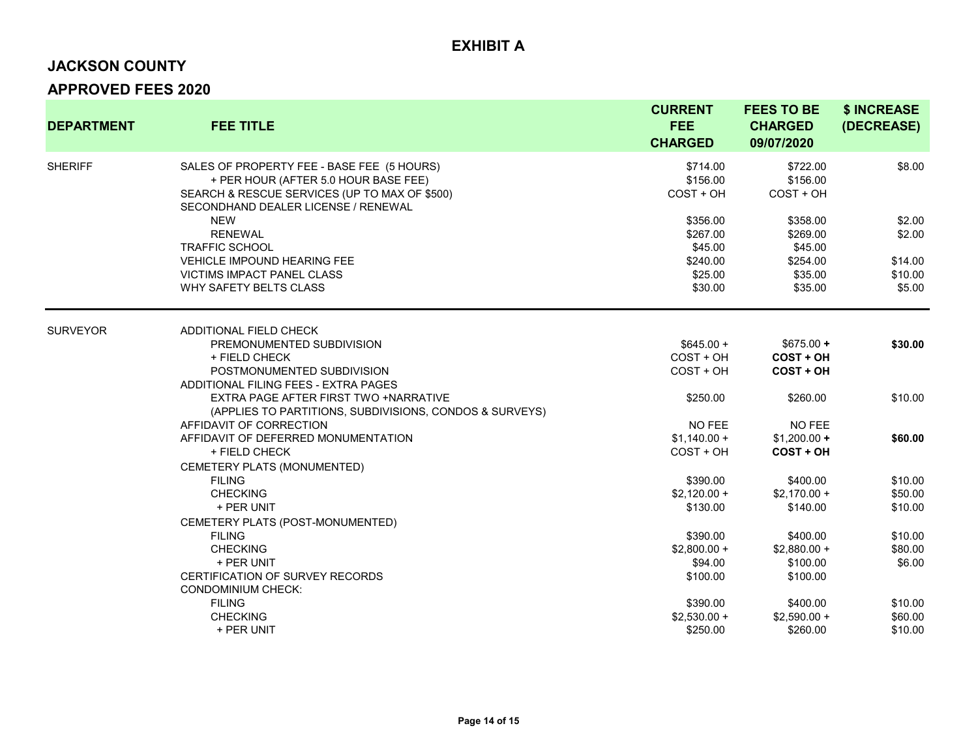# **JACKSON COUNTY**

| <b>DEPARTMENT</b> | <b>FEE TITLE</b>                                                                                                                                                           | <b>CURRENT</b><br><b>FEE</b><br><b>CHARGED</b> | <b>FEES TO BE</b><br><b>CHARGED</b><br>09/07/2020   | \$ INCREASE<br>(DECREASE)    |
|-------------------|----------------------------------------------------------------------------------------------------------------------------------------------------------------------------|------------------------------------------------|-----------------------------------------------------|------------------------------|
| <b>SHERIFF</b>    | SALES OF PROPERTY FEE - BASE FEE (5 HOURS)<br>+ PER HOUR (AFTER 5.0 HOUR BASE FEE)<br>SEARCH & RESCUE SERVICES (UP TO MAX OF \$500)<br>SECONDHAND DEALER LICENSE / RENEWAL | \$714.00<br>\$156.00<br>$COST + OH$            | \$722.00<br>\$156.00<br>$COST + OH$                 | \$8.00                       |
|                   | <b>NEW</b><br><b>RENEWAL</b>                                                                                                                                               | \$356.00<br>\$267.00                           | \$358.00<br>\$269.00                                | \$2.00<br>\$2.00             |
|                   | <b>TRAFFIC SCHOOL</b><br><b>VEHICLE IMPOUND HEARING FEE</b><br><b>VICTIMS IMPACT PANEL CLASS</b>                                                                           | \$45.00<br>\$240.00<br>\$25.00                 | \$45.00<br>\$254.00<br>\$35.00                      | \$14.00<br>\$10.00           |
|                   | WHY SAFETY BELTS CLASS                                                                                                                                                     | \$30.00                                        | \$35.00                                             | \$5.00                       |
| <b>SURVEYOR</b>   | <b>ADDITIONAL FIELD CHECK</b>                                                                                                                                              |                                                |                                                     |                              |
|                   | PREMONUMENTED SUBDIVISION<br>+ FIELD CHECK<br>POSTMONUMENTED SUBDIVISION                                                                                                   | $$645.00 +$<br>$COST + OH$<br>$COST + OH$      | $$675.00 +$<br><b>COST + OH</b><br><b>COST + OH</b> | \$30.00                      |
|                   | ADDITIONAL FILING FEES - EXTRA PAGES<br>EXTRA PAGE AFTER FIRST TWO +NARRATIVE<br>(APPLIES TO PARTITIONS, SUBDIVISIONS, CONDOS & SURVEYS)                                   | \$250.00                                       | \$260.00                                            | \$10.00                      |
|                   | AFFIDAVIT OF CORRECTION<br>AFFIDAVIT OF DEFERRED MONUMENTATION<br>+ FIELD CHECK                                                                                            | NO FEE<br>$$1,140.00 +$<br>COST + OH           | NO FEE<br>$$1,200.00 +$<br><b>COST + OH</b>         | \$60.00                      |
|                   | CEMETERY PLATS (MONUMENTED)<br><b>FILING</b><br><b>CHECKING</b>                                                                                                            | \$390.00<br>$$2.120.00 +$                      | \$400.00<br>$$2,170.00 +$                           | \$10.00<br>\$50.00           |
|                   | + PER UNIT<br>CEMETERY PLATS (POST-MONUMENTED)                                                                                                                             | \$130.00                                       | \$140.00                                            | \$10.00                      |
|                   | <b>FILING</b><br><b>CHECKING</b><br>+ PER UNIT                                                                                                                             | \$390.00<br>$$2,800.00 +$<br>\$94.00           | \$400.00<br>$$2,880.00 +$<br>\$100.00               | \$10.00<br>\$80.00<br>\$6.00 |
|                   | CERTIFICATION OF SURVEY RECORDS<br><b>CONDOMINIUM CHECK:</b><br><b>FILING</b>                                                                                              | \$100.00<br>\$390.00                           | \$100.00<br>\$400.00                                | \$10.00                      |
|                   | <b>CHECKING</b><br>+ PER UNIT                                                                                                                                              | $$2,530.00 +$<br>\$250.00                      | $$2,590.00 +$<br>\$260.00                           | \$60.00<br>\$10.00           |